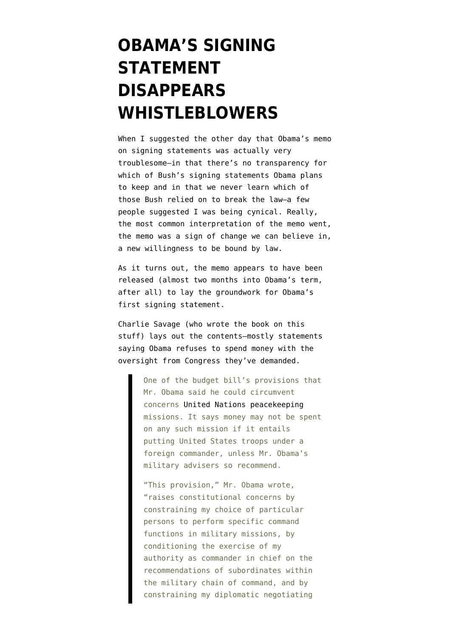## **[OBAMA'S SIGNING](https://www.emptywheel.net/2009/03/12/obamas-signing-statement-disappears-whistleblowers/) [STATEMENT](https://www.emptywheel.net/2009/03/12/obamas-signing-statement-disappears-whistleblowers/) [DISAPPEARS](https://www.emptywheel.net/2009/03/12/obamas-signing-statement-disappears-whistleblowers/) [WHISTLEBLOWERS](https://www.emptywheel.net/2009/03/12/obamas-signing-statement-disappears-whistleblowers/)**

When I [suggested](http://emptywheel.firedoglake.com/2009/03/09/tell-us-how-they-were-used/) the other day that Obama's memo on signing statements was actually very troublesome–in that there's no transparency for which of Bush's signing statements Obama plans to keep and in that we never learn which of those Bush relied on to break the law–a few people suggested I was being cynical. Really, the most common interpretation of the memo went, the memo was a sign of change we can believe in, a new willingness to be bound by law.

As it turns out, the memo appears to have been released (almost two months into Obama's term, after all) to lay the groundwork for Obama's first signing statement.

Charlie Savage (who wrote the book on this stuff) [lays out the contents](http://www.nytimes.com/2009/03/12/us/politics/12signing.html?_r=1&ref=washington)–mostly statements saying Obama refuses to spend money with the oversight from Congress they've demanded.

> One of the budget bill's provisions that Mr. Obama said he could circumvent concerns [United Nations](http://topics.nytimes.com/top/reference/timestopics/organizations/u/united_nations/index.html?inline=nyt-org) [peacekeeping](http://topics.nytimes.com/top/reference/timestopics/organizations/u/united_nations/department_of_peacekeeping_operations/index.html?inline=nyt-classifier) missions. It says money may not be spent on any such mission if it entails putting United States troops under a foreign commander, unless Mr. Obama's military advisers so recommend.

"This provision," Mr. Obama wrote, "raises constitutional concerns by constraining my choice of particular persons to perform specific command functions in military missions, by conditioning the exercise of my authority as commander in chief on the recommendations of subordinates within the military chain of command, and by constraining my diplomatic negotiating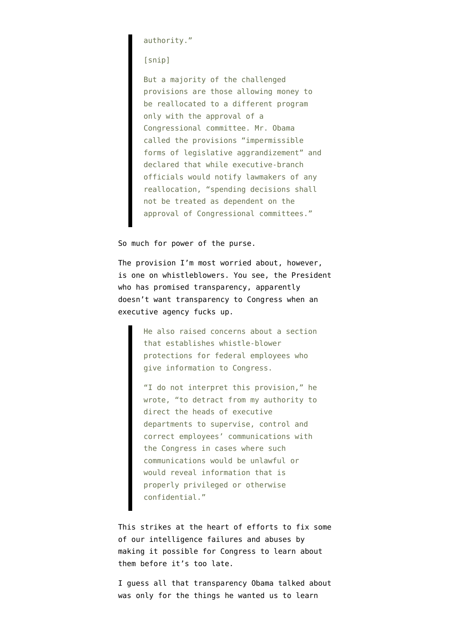authority."

[snip]

But a majority of the challenged provisions are those allowing money to be reallocated to a different program only with the approval of a Congressional committee. Mr. Obama called the provisions "impermissible forms of legislative aggrandizement" and declared that while executive-branch officials would notify lawmakers of any reallocation, "spending decisions shall not be treated as dependent on the approval of Congressional committees."

So much for power of the purse.

The provision I'm most worried about, however, is one on whistleblowers. You see, the President who has promised transparency, apparently doesn't want transparency to Congress when an executive agency fucks up.

> He also raised concerns about a section that establishes whistle-blower protections for federal employees who give information to Congress.

> "I do not interpret this provision," he wrote, "to detract from my authority to direct the heads of executive departments to supervise, control and correct employees' communications with the Congress in cases where such communications would be unlawful or would reveal information that is properly privileged or otherwise confidential."

This strikes at the heart of efforts to fix some of our intelligence failures and abuses by making it possible for Congress to learn about them before it's too late.

I guess all that transparency Obama talked about was only for the things he wanted us to learn